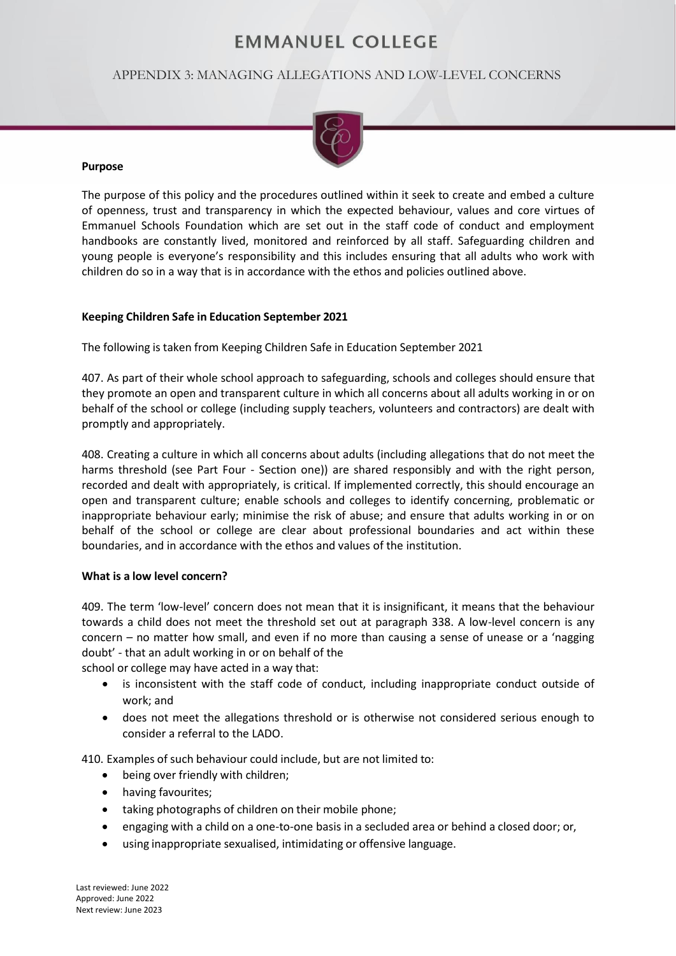# **EMMANUEL COLLEGE**

## APPENDIX 3: MANAGING ALLEGATIONS AND LOW-LEVEL CONCERNS



#### **Purpose**

The purpose of this policy and the procedures outlined within it seek to create and embed a culture of openness, trust and transparency in which the expected behaviour, values and core virtues of Emmanuel Schools Foundation which are set out in the staff code of conduct and employment handbooks are constantly lived, monitored and reinforced by all staff. Safeguarding children and young people is everyone's responsibility and this includes ensuring that all adults who work with children do so in a way that is in accordance with the ethos and policies outlined above.

## **Keeping Children Safe in Education September 2021**

The following is taken from Keeping Children Safe in Education September 2021

407. As part of their whole school approach to safeguarding, schools and colleges should ensure that they promote an open and transparent culture in which all concerns about all adults working in or on behalf of the school or college (including supply teachers, volunteers and contractors) are dealt with promptly and appropriately.

408. Creating a culture in which all concerns about adults (including allegations that do not meet the harms threshold (see Part Four - Section one)) are shared responsibly and with the right person, recorded and dealt with appropriately, is critical. If implemented correctly, this should encourage an open and transparent culture; enable schools and colleges to identify concerning, problematic or inappropriate behaviour early; minimise the risk of abuse; and ensure that adults working in or on behalf of the school or college are clear about professional boundaries and act within these boundaries, and in accordance with the ethos and values of the institution.

## **What is a low level concern?**

409. The term 'low-level' concern does not mean that it is insignificant, it means that the behaviour towards a child does not meet the threshold set out at paragraph 338. A low-level concern is any concern – no matter how small, and even if no more than causing a sense of unease or a 'nagging doubt' - that an adult working in or on behalf of the

school or college may have acted in a way that:

- is inconsistent with the staff code of conduct, including inappropriate conduct outside of work; and
- does not meet the allegations threshold or is otherwise not considered serious enough to consider a referral to the LADO.

410. Examples of such behaviour could include, but are not limited to:

- being over friendly with children;
- having favourites;
- taking photographs of children on their mobile phone;
- engaging with a child on a one-to-one basis in a secluded area or behind a closed door; or,
- using inappropriate sexualised, intimidating or offensive language.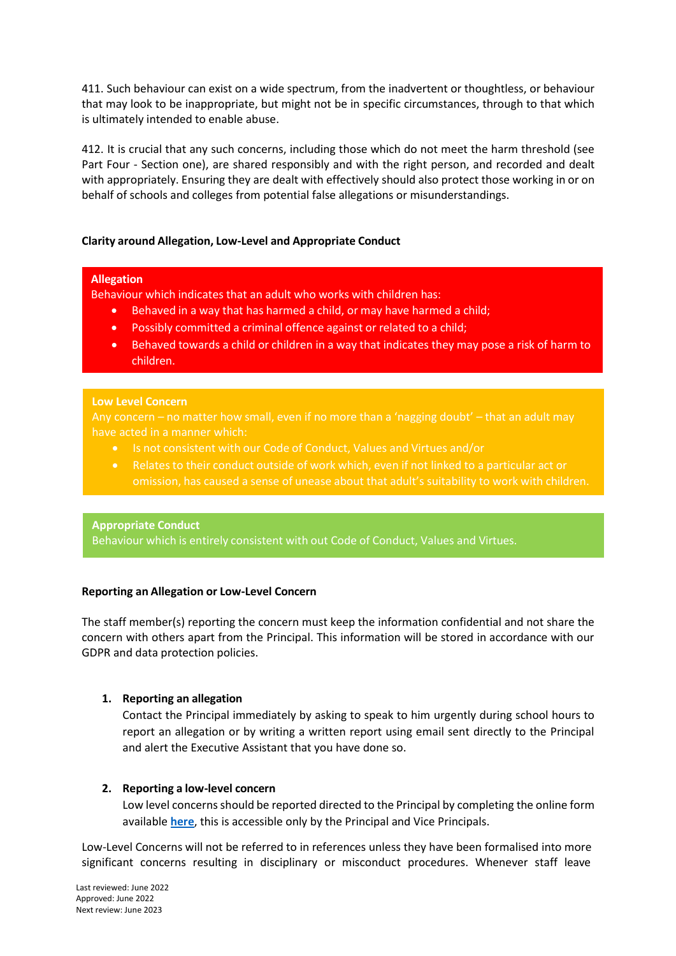411. Such behaviour can exist on a wide spectrum, from the inadvertent or thoughtless, or behaviour that may look to be inappropriate, but might not be in specific circumstances, through to that which is ultimately intended to enable abuse.

412. It is crucial that any such concerns, including those which do not meet the harm threshold (see Part Four - Section one), are shared responsibly and with the right person, and recorded and dealt with appropriately. Ensuring they are dealt with effectively should also protect those working in or on behalf of schools and colleges from potential false allegations or misunderstandings.

## **Clarity around Allegation, Low-Level and Appropriate Conduct**

## **Allegation**

Behaviour which indicates that an adult who works with children has:

- Behaved in a way that has harmed a child, or may have harmed a child;
- Possibly committed a criminal offence against or related to a child;
- Behaved towards a child or children in a way that indicates they may pose a risk of harm to children.

#### **Low Level Concern**

Any concern – no matter how small, even if no more than a 'nagging doubt' – that an adult may have acted in a manner which:

- 
- Relates to their conduct outside of work which, even if not linked to a particular act or

## **Appropriate Conduct**

Behaviour which is entirely consistent with out Code of Conduct, Values and Virtues.

## **Reporting an Allegation or Low-Level Concern**

The staff member(s) reporting the concern must keep the information confidential and not share the concern with others apart from the Principal. This information will be stored in accordance with our GDPR and data protection policies.

## **1. Reporting an allegation**

Contact the Principal immediately by asking to speak to him urgently during school hours to report an allegation or by writing a written report using email sent directly to the Principal and alert the Executive Assistant that you have done so.

## **2. Reporting a low-level concern**

Low level concerns should be reported directed to the Principal by completing the online form available **[here](https://forms.office.com/Pages/ShareFormPage.aspx?id=KjXqEW-MvkOdRU6rYU5-Az4PxEYOvkJNsHU5TSsxksRUMjlRSUFYTjNaQzY0SDlUTFVDQ1RIOFhZViQlQCNjPTEu&sharetoken=GMohWDaJLLn16QX5QsOi)**, this is accessible only by the Principal and Vice Principals.

Low-Level Concerns will not be referred to in references unless they have been formalised into more significant concerns resulting in disciplinary or misconduct procedures. Whenever staff leave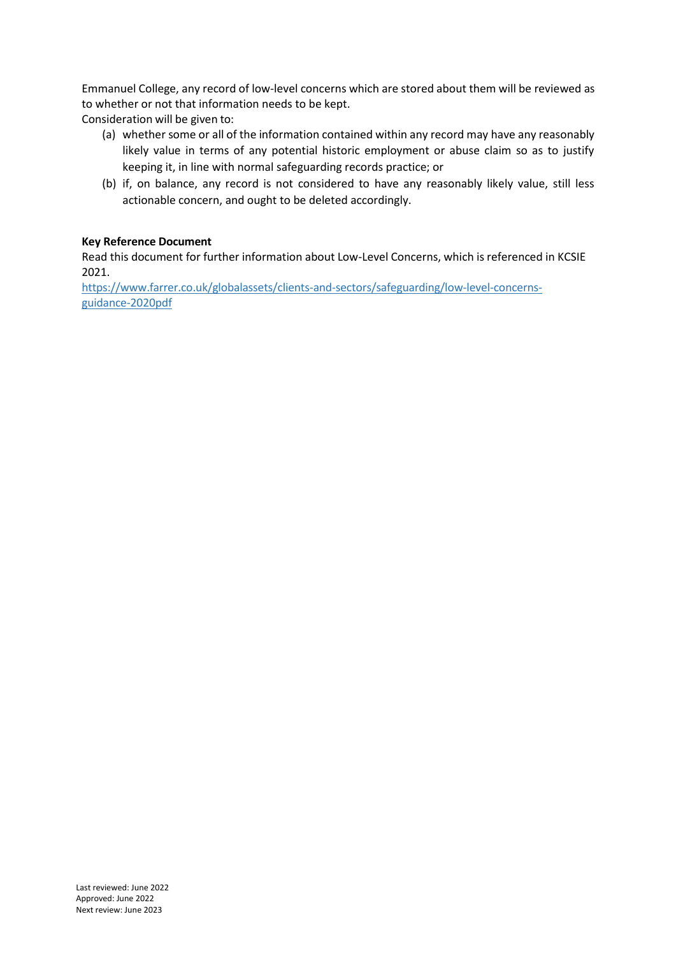Emmanuel College, any record of low-level concerns which are stored about them will be reviewed as to whether or not that information needs to be kept.

Consideration will be given to:

- (a) whether some or all of the information contained within any record may have any reasonably likely value in terms of any potential historic employment or abuse claim so as to justify keeping it, in line with normal safeguarding records practice; or
- (b) if, on balance, any record is not considered to have any reasonably likely value, still less actionable concern, and ought to be deleted accordingly.

## **Key Reference Document**

Read this document for further information about Low-Level Concerns, which is referenced in KCSIE 2021.

[https://www.farrer.co.uk/globalassets/clients-and-sectors/safeguarding/low-level-concerns](https://www.farrer.co.uk/globalassets/clients-and-sectors/safeguarding/low-level-concerns-guidance-2020)[guidance-2020p](https://www.farrer.co.uk/globalassets/clients-and-sectors/safeguarding/low-level-concerns-guidance-2020)df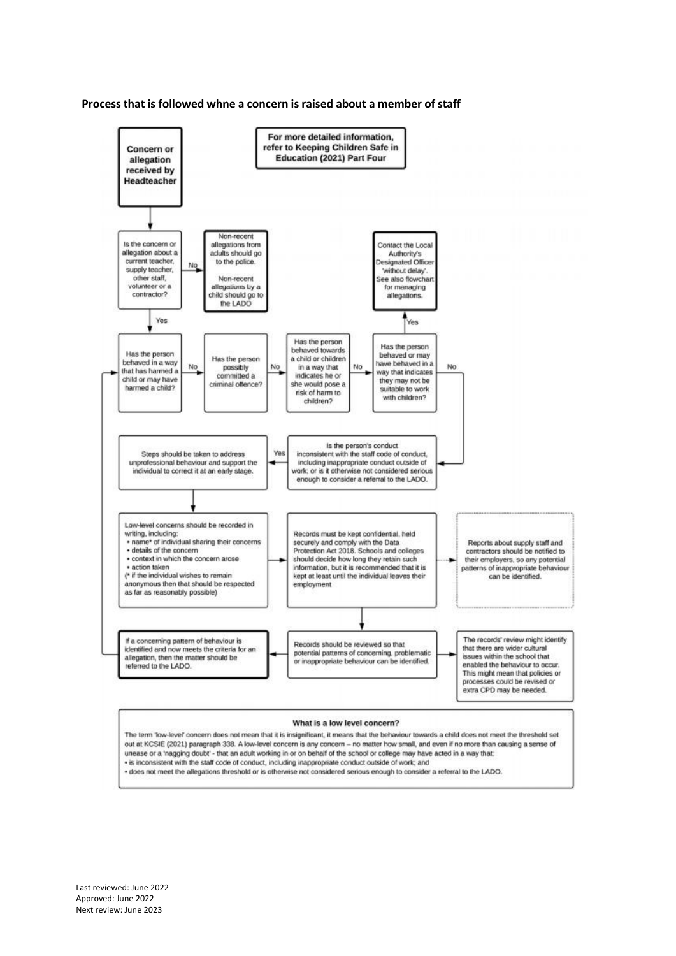



The term 'low-level' concern does not mean that it is insignificant, it means that the behaviour towards a child does not meet the threshold set out at KCSIE (2021) paragraph 338. A low-level concern is any concern -- no matter how small, and even if no more than causing a sense of unease or a 'nagging doubt' - that an adult working in or on behalf of the school or college may have acted in a way that: · is inconsistent with the staff code of conduct, including inappropriate conduct outside of work; and

. does not meet the allegations threshold or is otherwise not considered serious enough to consider a referral to the LADO.